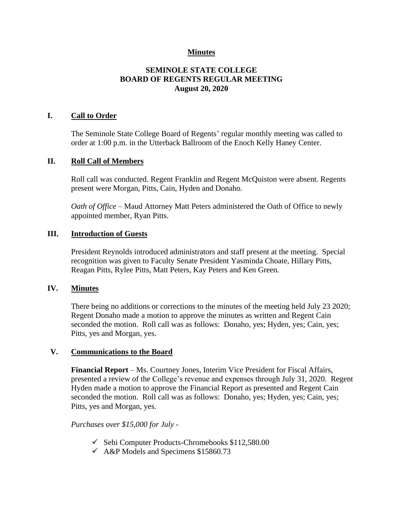## **Minutes**

## **SEMINOLE STATE COLLEGE BOARD OF REGENTS REGULAR MEETING August 20, 2020**

### **I. Call to Order**

The Seminole State College Board of Regents' regular monthly meeting was called to order at 1:00 p.m. in the Utterback Ballroom of the Enoch Kelly Haney Center.

#### **II. Roll Call of Members**

Roll call was conducted. Regent Franklin and Regent McQuiston were absent. Regents present were Morgan, Pitts, Cain, Hyden and Donaho.

*Oath of Office* – Maud Attorney Matt Peters administered the Oath of Office to newly appointed member, Ryan Pitts.

#### **III. Introduction of Guests**

President Reynolds introduced administrators and staff present at the meeting. Special recognition was given to Faculty Senate President Yasminda Choate, Hillary Pitts, Reagan Pitts, Rylee Pitts, Matt Peters, Kay Peters and Ken Green.

#### **IV. Minutes**

There being no additions or corrections to the minutes of the meeting held July 23 2020; Regent Donaho made a motion to approve the minutes as written and Regent Cain seconded the motion. Roll call was as follows: Donaho, yes; Hyden, yes; Cain, yes; Pitts, yes and Morgan, yes.

### **V. Communications to the Board**

**Financial Report** – Ms. Courtney Jones, Interim Vice President for Fiscal Affairs, presented a review of the College's revenue and expenses through July 31, 2020. Regent Hyden made a motion to approve the Financial Report as presented and Regent Cain seconded the motion. Roll call was as follows: Donaho, yes; Hyden, yes; Cain, yes; Pitts, yes and Morgan, yes.

*Purchases over \$15,000 for July -*

- $\checkmark$  Sehi Computer Products-Chromebooks \$112,580.00
- $\checkmark$  A&P Models and Specimens \$15860.73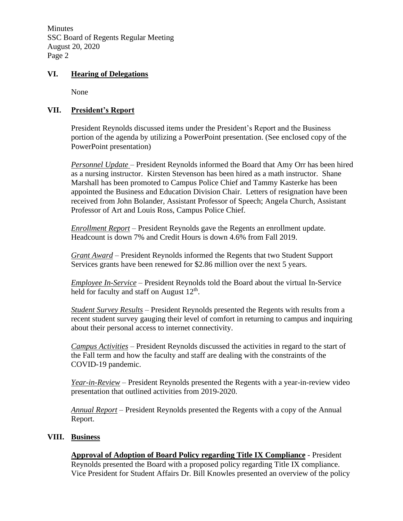Minutes SSC Board of Regents Regular Meeting August 20, 2020 Page 2

### **VI. Hearing of Delegations**

None

## **VII. President's Report**

President Reynolds discussed items under the President's Report and the Business portion of the agenda by utilizing a PowerPoint presentation. (See enclosed copy of the PowerPoint presentation)

*Personnel Update* – President Reynolds informed the Board that Amy Orr has been hired as a nursing instructor. Kirsten Stevenson has been hired as a math instructor. Shane Marshall has been promoted to Campus Police Chief and Tammy Kasterke has been appointed the Business and Education Division Chair. Letters of resignation have been received from John Bolander, Assistant Professor of Speech; Angela Church, Assistant Professor of Art and Louis Ross, Campus Police Chief.

*Enrollment Report* – President Reynolds gave the Regents an enrollment update. Headcount is down 7% and Credit Hours is down 4.6% from Fall 2019.

*Grant Award* – President Reynolds informed the Regents that two Student Support Services grants have been renewed for \$2.86 million over the next 5 years.

*Employee In-Service* – President Reynolds told the Board about the virtual In-Service held for faculty and staff on August  $12<sup>th</sup>$ .

*Student Survey Results* – President Reynolds presented the Regents with results from a recent student survey gauging their level of comfort in returning to campus and inquiring about their personal access to internet connectivity.

*Campus Activities* – President Reynolds discussed the activities in regard to the start of the Fall term and how the faculty and staff are dealing with the constraints of the COVID-19 pandemic.

*Year-in-Review* – President Reynolds presented the Regents with a year-in-review video presentation that outlined activities from 2019-2020.

*Annual Report* – President Reynolds presented the Regents with a copy of the Annual Report.

### **VIII. Business**

**Approval of Adoption of Board Policy regarding Title IX Compliance** - President Reynolds presented the Board with a proposed policy regarding Title IX compliance. Vice President for Student Affairs Dr. Bill Knowles presented an overview of the policy